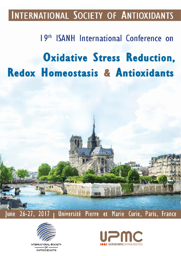# INTERNATIONAL SOCIETY OF ANTIOXIDANTS

# 19th ISANH International Conference on **Oxidative Stress Reduction,** Redox Homeostasis & Antioxidants





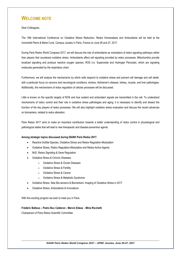# **WELCOME NOTE**

Dear Colleagues,

The 19th International Conference on Oxidative Stress Reduction, Redox Homeostasis and Antioxidants will be held at the Université Pierre & Marie Curie, Campus Jussieu in Paris, France on June 26 and 27, 2017.

During Paris Redox World Congress 2017, we will discuss the role of antioxidants as modulators of redox signaling pathways rather than players that counteract oxidative stress. Antioxidants affect cell signaling provided by redox processes. Mitochondria provide localized signaling and produce reactive oxygen species, ROS (i.e. Superoxide and Hydrogen Peroxide), which are signaling molecules generated by the respiratory chain.

Furthermore, we will analyze the mechanisms by which cells respond to oxidative stress and prevent cell damage and cell death, with a particular focus on neurons and neurological conditions, strokes, Alzheimer's disease, kidney, muscle, and liver pathologies. Additionally, the mechanisms of redox regulation of cellular processes will be discussed.

Little is known on the specific targets of ROS and how oxidant and antioxidant signals are transmitted in the cell. To understand mechanisms of redox control and their role in oxidative stress pathologies and aging, it is necessary to identify and dissect the function of the key players of redox processes. We will also highlight oxidative stress evaluation and discuss the recent advances on biomarkers, related to redox alteration.

Paris Redox 2017 aims to make an important contribution towards a better understanding of redox control in physiological and pathological states that will lead to new therapeutic and disease-preventive agents.

#### **Among strategic topics discussed during ISANH Paris Redox 2017:**

- Reactive Sulfide Species, Oxidative Stress and Redox Regulation-Modulation
- Oxidative Stress, Redox Regulation-Modulation and Redox-Active Agents
- Nrf2, Redox Signaling & Gene Regulation
- Oxidative Stress & Chronic Diseases
	- o Oxidative Stress & Ocular Diseases
	- o Oxidative Stress & Fertility
	- o Oxidative Stress & Cancer
	- o Oxidative Stress & Metabolic Syndrome
- Oxidative Stress, New Bio-sensors & Biomarkers: Imaging of Oxidative Stress in 2017
- Oxidative Stress, Antioxidants & Innovations

With this exciting program we wish to meet you in Paris.

#### **Frédéric Batteux – Pedro Buc Calderon - Marvin Edeas** – **Miria Ricchetti**

Chairperson of Paris Redox Scientific Committee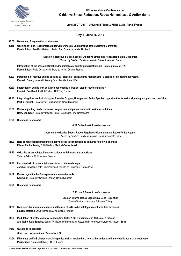

## **19 th International Conference on Oxidative Stress Reduction, Redox Homeostasis & Antioxidants**

**June 26-27, 2017 - Université Pierre & Marie Curie, Paris, France**

### **Day 1 - June 26, 2017**

#### **08:00 Welcoming & registration of attendees**

**08:55 Opening of Paris Redox International Conference by Chairpersons of the Scientific Committee Marvin Edeas, Frédéric Batteux, Pedro Buc Calderon, Miria Ricchetti**

> **Session 1: Reactive Sulfide Species, Oxidative Stress and Redox Regulation-Modulation** *Chaired by Frédéric Bouillaud, Marvin Edeas & Kenneth Olson*

**Introduction of the session: Mitochondria-microbiota: an intriguing relationship – strategic role of H2S Marvin Edeas,** Paris Descartes University, Institut Cochin, France

- **09:00 Metabolism of reactive sulfide species by "classical" antioxidants mechanisms: a parallel or predominant system? Kenneth Olson,** Indiana University School of Medicine, USA
- **09:20 Interaction of sulfide with cellular bioenergetics a first/last step in redox signaling? Frédéric Bouillaud,** Institut Cochin, INSERM, France
- **09:40 Integrating the chemical biology of Reactive Oxygen, Nitrogen and Sulfur Species: opportunities for redox signaling and precision medicine Martin Feelisch,** University of Southampton, United Kingdom
- **10:00 Redox signalling predicts disease progression and patient survival in various conditions Harry van Goor,** University Medical Center Groningen, The Netherlands
- **10:20 Questions to speakers**

#### *10:30 Coffee break & poster session*

**Session 2: Oxidative Stress, Redox Regulation-Modulation and Redox-Active Agents** *Chaired by Frédéric Bouillaud, Marvin Edeas & Kenneth Olson*

- **11:00 Role of iron overload initiating oxidative stress in congenital and acquired hemolytic anemias Eliezer Rachmilewitz,** Edith Wolfson Medical Center, Israel
- **11:20 Oxidative stress related history of patients with intracranial aneurisms Thierry Patrice,** CHU Nantes, France
- **11:40 Peroxiredoxin 1 protects telomeres from oxidative damage Joachim Lingner,** Ecole Polytechnique Fédérale de Lausanne, Switzerland
- **12:00 Redox regulation by Coenzyme A in mammalian cells Ivan Gout,** University College London, United Kingdom
- **12:20 Questions to speakers**

#### *12:30 Lunch break & poster session*

**Session 3: Nrf2, Redox Signaling & Gene Regulation** *Chaired by Laurent Marrot & Patrice Thierry*

- **14:00 Skin redox balance maintenance and the role of Nrf2 in dermatology: recent scientific advances Laurent Marrot,** L'Oréal Research & Innovation, France
- **14:20 Modulation of proteostasis by transcription factor Nrf2F2 and impact in Alzheimer's disease Ana Isabel Rojo Sanchís,** Center for Networked Biomedical Research in Neurodegenerative Diseases, Spain
- **14:40 Questions to speakers**

*Short oral presentations (7 minutes + 3)*

**14:50 Mitonneet, an Fe-S cluster–containing redox switch involved in a new pathway dedicated in cytosolic aconitase reactivation Marie-Pierre Golinelli-Cohen,** CNRS, France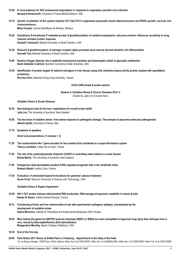- **15:00 A novel pathway for Nrf2 proteasomal degradation in response to respiratory syncitial virus infection Narayana Komaravelli,** University of Texas Medical Branch, USA
- 15:10 Genetic invalidation of the cystine importer XCT (SLC7A11) suppresses pancreatic ductal adenocarcinoma cell (PDAC) growth, survival, and **chemoresistance Milica Vucetic,** Centre Scientifique de Monaco, Monaco
- 15:20 Glutathione S-transferase P mediated protein S-glutathionylation of resident endoplasmic reticulum proteins influences sensitivity to drug**induced unfolded protein response Danyelle Townsend,** Medical University of South Carolina, USA
- **15:30 Reduced S-glutathionylation of estrogen receptor alpha promotes bone marrow derived dendritic cell differentiation Kenneth Tew,** Medical University of South Carolina, USA
- **15:40 Reactive Oxygen Species role in epithelial mesochymal transition and bioenergetic switch to glycolytic metabolism Sarah Adelaide Crawford,** Southern Connecticut State University, USA
- **15:50 Identification of protein targets of catechol estrogens in liver tissues using click chemistry-based activity probes coupled with quantitative proteomics Shu-Hui Chen,** National Cheng Kung University, Taiwan

#### *16:00 Coffee break & poster session*

**Session 4: Oxidative Stress & Chronic Diseases (Part 1)** *Chaired by Julie Lim & Carole Nicco*

#### *Oxidative Stress & Ocular Diseases*

- **16:30 New biological roles for the lens: implications for overall ocular health Julie Lim,** The University of Auckland, New Zealand
- **16:50 The two faces of oxidative stress: from stress-response to pathogenic damage. The example of glaucoma molecular pathogenesis Alberto Izzotti,** University of Genoa, Italy
- **17:10 Questions to speakers**

*Short oral presentations (7 minutes + 3)*

- **17:20 The nucleoredoxin-like 1 gene encodes for two proteins that contributes to a super-thioredoxin system Thierry Léveillard,** Institut de la Vision, France
- **17:30 The role of the cystine/glutamate antiporter (CGAP) in controlling redox balance in ocular tissues Renita Martis,** The University of Auckland, New Zealand
- **17:40 Endogenous lipid peroxidation product 9-HSa regulates progenitor fate in the vertebrate retina Shahad Albadri,** Institut Curie, France
- **17:50 Evaluation of antioxidant-based formulations for potential cataract treatment Nuran Ercal,** Missouri University of Science and Technology, USA

#### *Oxidative Stress & Organs Impairment*

- **18:00 HIV-1-TAT protein induces mitochondrial ROS production, DNA damage and genomic instability in human β-cells Rawan El Amine,** Institut Gustave Roussy, France
- **18:10 Functioning of brain and liver mitochondria of rats with experimental audiogenic epilepsy, characterized by the development of oxidative stress Galina Mironova,** Institute of Theoretical and Experimental Biophysics RAS, Russia
- **18:20 Mice lacking the genes for NAP(P)H quinone reductase (NQO1) or NQO2 are more susceptible to hyperoxic lung injury than wild type mice in vivo: rescue by beta-napthoflavone (bnf) administration Bhagavatula Moorthy,** Baylor College of Medicine, USA
- **18:30 End of the first day**
- **20:00 Paris Redox 2017 Dinner at Sofitel Paris Le Faubourg – Appointment in the lobby of the hotel** *15, rue Boissy d'Anglas, 75008 Paris / Metro stations: Metro line 8 at CONCORDE / Metro line 14 at MADELEINE / Metro line 1 at CONCORDE / Metro line 12 at CONCORDE*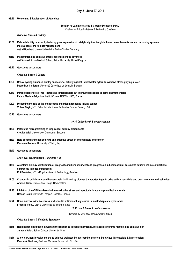#### **08:25 Welcoming & Registration of Attendees**

#### **Session 4: Oxidative Stress & Chronic Diseases (Part 2)**

*Chaired by Frédéric Batteux & Pedro Buc Calderon*

#### *Oxidative Stress & Fertility*

- **08:30 Male subfertility induced by heterozygous expression of catalytically inactive glutathione peroxidase 4 is rescued in vivo by systemic inactivation of the 15-lipoxygenase gene Astrid Borchert,** University Medicine Berlin-Charité, Germany
- **08:50 Placentation and oxidative stress: recent scientific advances Asif Ahmed,** Aston Medical School, Aston University, United Kingdom
- **09:10 Questions to speakers**

*Oxidative Stress & Cancer*

- **09:20 Redox cycling quinones display antibacterial activity against Helicobacter pylori. Is oxidative stress playing a role? Pedro Buc Calderon,** Université Catholique de Louvain, Belgium
- **09:40 Paradoxical effects of ros: increasing tumorigenesis but improving response to some chemotherapies Fatima Mechta-Grigoriou,** Institut Curie - INSERM U830, France
- **10:00 Dissecting the role of the endogenous antioxidant response in lung cancer Volkan Sayin,** NYU School of Medicine - Perlmutter Cancer Center, USA
- **10:20 Questions to speakers**

*10:30 Coffee break & poster session*

- **11:00 Metastatic reprogramming of lung cancer cells by antioxidants Clotilde Wiel,** University of Gotenburg, Sweden
- **11:20 Role of compartmentalized ROS and oxidative stress in angiogenesis and cancer Massimo Santoro,** University of Turin, Italy
- **11:40 Questions to speakers**

*Short oral presentations (7 minutes + 3)*

- **11:50 A systems biology identification of prognostic markers of survival and progression in hepatocellular carcinoma patients indicates functional differences in redox metabolism Rui Benfeitas,** KTH - Royal Institute of Technology, Sweden
- **12:00 Changes in cellular uric acid homeostasis facilitated by glucose transporter 9 (glut9) drive activin sensitivity and prostate cancer cell behaviour Andrew Bahn,** University of Otago, New Zealand
- **12:10 Inhibition of NADPH oxidases induces oxidative stress and apoptosis in acute myeloid leukemia cells Hassan Dakik,** Université François Rabelais, France
- **12:20 Bone marrow oxidative stress and specific antioxidant signatures in myelodysplastic syndromes Frédéric Picou,** CNRS-Université de Tours, France

*12:30 Lunch break & poster session*

*Chaired by Miria Ricchetti & Jumana Saleh*

#### *Oxidative Stress & Metabolic Syndrome*

- **13:45 Regional fat distribution in woman: the relation to lipogenic hormones, metabolic syndrome markers and oxidative risk Jumana Saleh,** Sultan Qaboos University, Oman
- 14:10 A low risk, non-invasive means to achieve wellness by overcoming physical inactivity; fibromyalgia & hypertension **Marvin A. Sackner,** Sackner Wellness Products LLC, USA